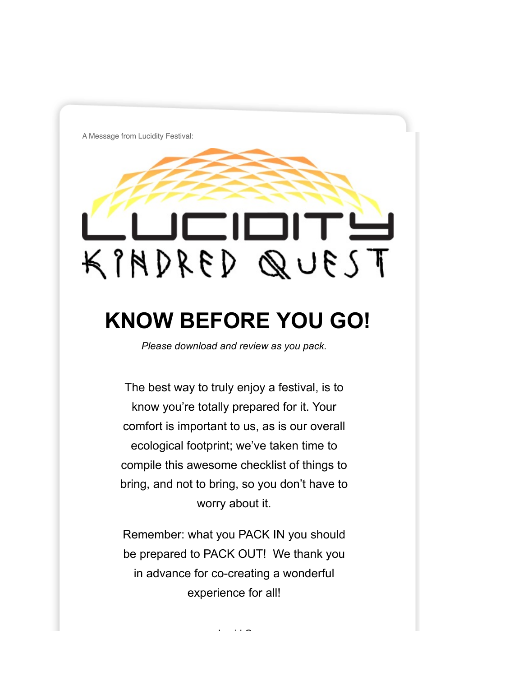A Message from Lucidity Festival:

# **CIOITS**  $T23UQQQH18A$

# **KNOW BEFORE YOU GO!**

*Please download and review as you pack.*

The best way to truly enjoy a festival, is to know you're totally prepared for it. Your comfort is important to us, as is our overall ecological footprint; we've taken time to compile this awesome checklist of things to bring, and not to bring, so you don't have to worry about it.

Remember: what you PACK IN you should be prepared to PACK OUT! We thank you in advance for co-creating a wonderful experience for all!

- Lucid Crew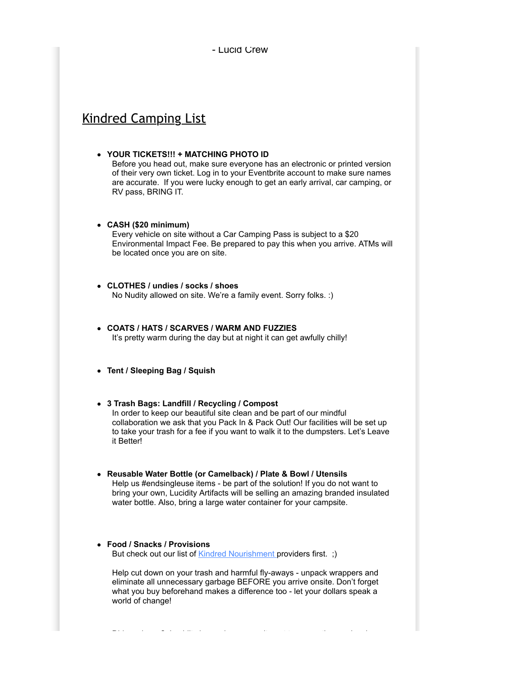- Lucid Crew

# Kindred Camping List

#### **YOUR TICKETS!!! + MATCHING PHOTO ID**

Before you head out, make sure everyone has an electronic or printed version of their very own ticket. Log in to your Eventbrite account to make sure names are accurate. If you were lucky enough to get an early arrival, car camping, or RV pass, BRING IT.

#### **CASH (\$20 minimum)**

Every vehicle on site without a Car Camping Pass is subject to a \$20 Environmental Impact Fee. Be prepared to pay this when you arrive. ATMs will be located once you are on site.

#### **CLOTHES / undies / socks / shoes** No Nudity allowed on site. We're a family event. Sorry folks. :)

- **COATS / HATS / SCARVES / WARM AND FUZZIES** It's pretty warm during the day but at night it can get awfully chilly!
- **Tent / Sleeping Bag / Squish**

#### **3 Trash Bags: Landfill / Recycling / Compost**

In order to keep our beautiful site clean and be part of our mindful collaboration we ask that you Pack In & Pack Out! Our facilities will be set up to take your trash for a fee if you want to walk it to the dumpsters. Let's Leave it Better!

**Reusable Water Bottle (or Camelback) / Plate & Bowl / Utensils** Help us #endsingleuse items - be part of the solution! If you do not want to bring your own, Lucidity Artifacts will be selling an amazing branded insulated water bottle. Also, bring a large water container for your campsite.

### **Food / Snacks / Provisions**

But check out our list of **Kindred Nourishment** providers first. ;)

Help cut down on your trash and harmful fly-aways - unpack wrappers and eliminate all unnecessary garbage BEFORE you arrive onsite. Don't forget what you buy beforehand makes a difference too - let your dollars speak a world of change!

Did you know? Lucidity has a deep commitment to supporting our local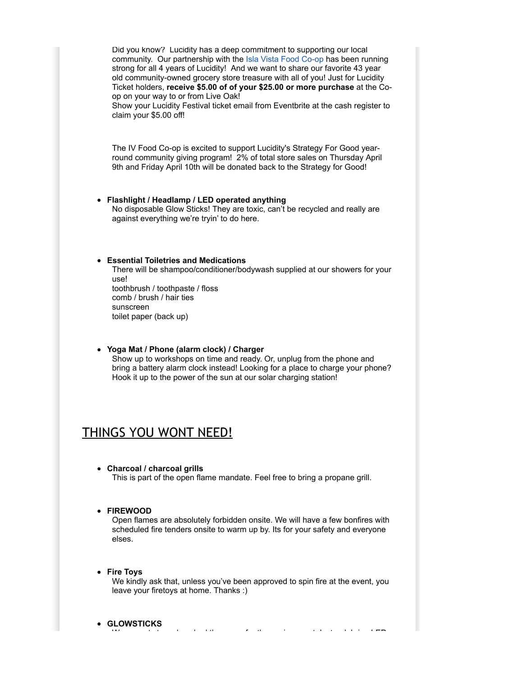Did you know? Lucidity has a deep commitment to supporting our local community. Our partnership with the [Isla Vista Food Co-op](http://islavistafoodcoop.blogspot.ca/) has been running strong for all 4 years of Lucidity! And we want to share our favorite 43 year old community-owned grocery store treasure with all of you! Just for Lucidity Ticket holders, **receive \$5.00 of of your \$25.00 or more purchase** at the Coop on your way to or from Live Oak!

Show your Lucidity Festival ticket email from Eventbrite at the cash register to claim your \$5.00 off!

The IV Food Co-op is excited to support Lucidity's Strategy For Good yearround community giving program! 2% of total store sales on Thursday April 9th and Friday April 10th will be donated back to the Strategy for Good!

**Flashlight / Headlamp / LED operated anything** No disposable Glow Sticks! They are toxic, can't be recycled and really are against everything we're tryin' to do here.

#### **Essential Toiletries and Medications**

There will be shampoo/conditioner/bodywash supplied at our showers for your use! toothbrush / toothpaste / floss comb / brush / hair ties

sunscreen toilet paper (back up)

**Yoga Mat / Phone (alarm clock) / Charger** Show up to workshops on time and ready. Or, unplug from the phone and bring a battery alarm clock instead! Looking for a place to charge your phone? Hook it up to the power of the sun at our solar charging station!

# THINGS YOU WONT NEED!

**Charcoal / charcoal grills** This is part of the open flame mandate. Feel free to bring a propane grill.

#### **FIREWOOD**

Open flames are absolutely forbidden onsite. We will have a few bonfires with scheduled fire tenders onsite to warm up by. Its for your safety and everyone elses.

**Fire Toys** We kindly ask that, unless you've been approved to spin fire at the event, you leave your firetoys at home. Thanks :)

We cannot stress how bad these are for the environment. Instead, bring LED

**GLOWSTICKS**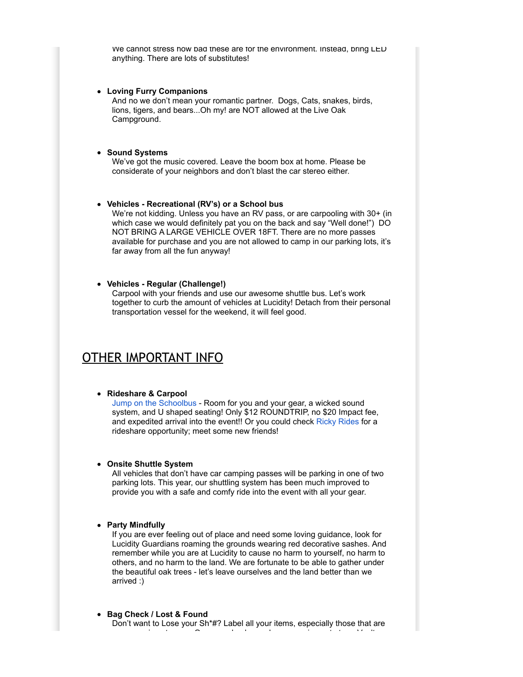We cannot stress how bad these are for the environment. Instead, bring LED anything. There are lots of substitutes!

#### **Loving Furry Companions**

And no we don't mean your romantic partner. Dogs, Cats, snakes, birds, lions, tigers, and bears...Oh my! are NOT allowed at the Live Oak Campground.

#### **Sound Systems**

We've got the music covered. Leave the boom box at home. Please be considerate of your neighbors and don't blast the car stereo either.

#### **Vehicles - Recreational (RV's) or a School bus**

We're not kidding. Unless you have an RV pass, or are carpooling with 30+ (in which case we would definitely pat you on the back and say "Well done!") DO NOT BRING A LARGE VEHICLE OVER 18FT. There are no more passes available for purchase and you are not allowed to camp in our parking lots, it's far away from all the fun anyway!

#### **Vehicles - Regular (Challenge!)**

Carpool with your friends and use our awesome shuttle bus. Let's work together to curb the amount of vehicles at Lucidity! Detach from their personal transportation vessel for the weekend, it will feel good.

## OTHER IMPORTANT INFO

#### **Rideshare & Carpool**

[Jump on the Schoolbus](http://www.jumpontheschoolbus.com/lucidity-transportation.php) - Room for you and your gear, a wicked sound system, and U shaped seating! Only \$12 ROUNDTRIP, no \$20 Impact fee, and expedited arrival into the event!! Or you could check [Ricky Rides](http://www.rickyrides.com/lucidity-festival-kindred-quest) for a rideshare opportunity; meet some new friends!

#### **Onsite Shuttle System**

All vehicles that don't have car camping passes will be parking in one of two parking lots. This year, our shuttling system has been much improved to provide you with a safe and comfy ride into the event with all your gear.

#### **Party Mindfully**

If you are ever feeling out of place and need some loving guidance, look for Lucidity Guardians roaming the grounds wearing red decorative sashes. And remember while you are at Lucidity to cause no harm to yourself, no harm to others, and no harm to the land. We are fortunate to be able to gather under the beautiful oak trees - let's leave ourselves and the land better than we arrived :)

#### **Bag Check / Lost & Found**

Don't want to Lose your Sh\*#? Label all your items, especially those that are more precious to you. Or come check your bag or equipment at our Vault,